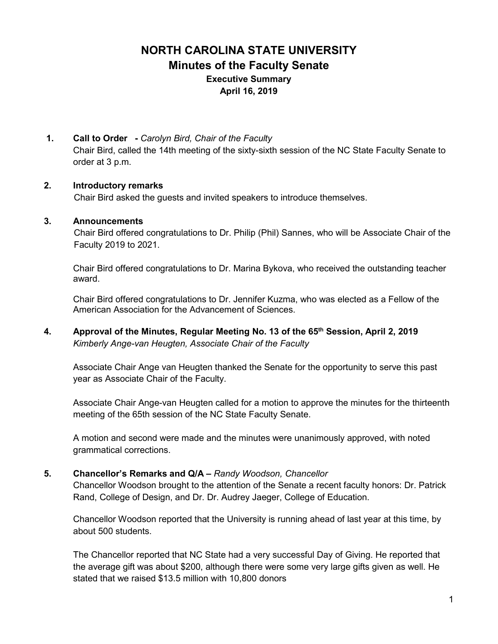# **NORTH CAROLINA STATE UNIVERSITY Minutes of the Faculty Senate Executive Summary April 16, 2019**

**1. Call to Order -** *Carolyn Bird, Chair of the Faculty* Chair Bird, called the 14th meeting of the sixty-sixth session of the NC State Faculty Senate to order at 3 p.m.

#### **2. Introductory remarks**

Chair Bird asked the guests and invited speakers to introduce themselves.

#### **3. Announcements**

 Chair Bird offered congratulations to Dr. Philip (Phil) Sannes, who will be Associate Chair of the Faculty 2019 to 2021.

Chair Bird offered congratulations to Dr. Marina Bykova, who received the outstanding teacher award.

Chair Bird offered congratulations to Dr. Jennifer Kuzma, who was elected as a Fellow of the American Association for the Advancement of Sciences.

**4. Approval of the Minutes, Regular Meeting No. 13 of the 65th Session, April 2, 2019**  *Kimberly Ange-van Heugten, Associate Chair of the Faculty*

Associate Chair Ange van Heugten thanked the Senate for the opportunity to serve this past year as Associate Chair of the Faculty.

Associate Chair Ange-van Heugten called for a motion to approve the minutes for the thirteenth meeting of the 65th session of the NC State Faculty Senate.

A motion and second were made and the minutes were unanimously approved, with noted grammatical corrections.

#### **5. Chancellor's Remarks and Q/A –** *Randy Woodson, Chancellor*

Chancellor Woodson brought to the attention of the Senate a recent faculty honors: Dr. Patrick Rand, College of Design, and Dr. Dr. Audrey Jaeger, College of Education.

Chancellor Woodson reported that the University is running ahead of last year at this time, by about 500 students.

The Chancellor reported that NC State had a very successful Day of Giving. He reported that the average gift was about \$200, although there were some very large gifts given as well. He stated that we raised \$13.5 million with 10,800 donors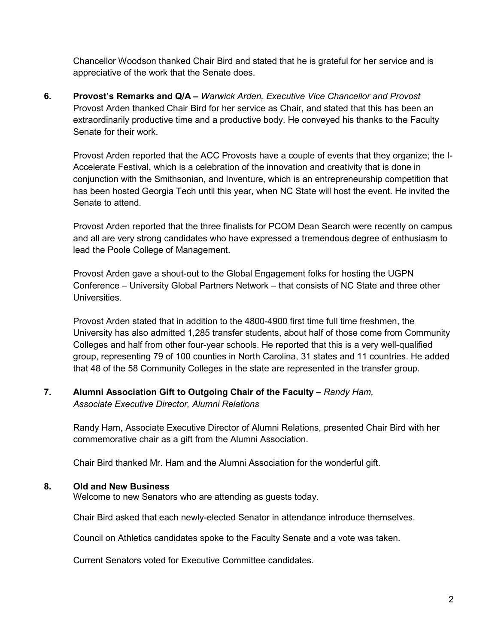Chancellor Woodson thanked Chair Bird and stated that he is grateful for her service and is appreciative of the work that the Senate does.

**6. Provost's Remarks and Q/A –** *Warwick Arden, Executive Vice Chancellor and Provost* Provost Arden thanked Chair Bird for her service as Chair, and stated that this has been an extraordinarily productive time and a productive body. He conveyed his thanks to the Faculty Senate for their work.

Provost Arden reported that the ACC Provosts have a couple of events that they organize; the I-Accelerate Festival, which is a celebration of the innovation and creativity that is done in conjunction with the Smithsonian, and Inventure, which is an entrepreneurship competition that has been hosted Georgia Tech until this year, when NC State will host the event. He invited the Senate to attend.

Provost Arden reported that the three finalists for PCOM Dean Search were recently on campus and all are very strong candidates who have expressed a tremendous degree of enthusiasm to lead the Poole College of Management.

Provost Arden gave a shout-out to the Global Engagement folks for hosting the UGPN Conference – University Global Partners Network – that consists of NC State and three other **Universities** 

Provost Arden stated that in addition to the 4800-4900 first time full time freshmen, the University has also admitted 1,285 transfer students, about half of those come from Community Colleges and half from other four-year schools. He reported that this is a very well-qualified group, representing 79 of 100 counties in North Carolina, 31 states and 11 countries. He added that 48 of the 58 Community Colleges in the state are represented in the transfer group.

#### **7. Alumni Association Gift to Outgoing Chair of the Faculty –** *Randy Ham, Associate Executive Director, Alumni Relations*

Randy Ham, Associate Executive Director of Alumni Relations, presented Chair Bird with her commemorative chair as a gift from the Alumni Association.

Chair Bird thanked Mr. Ham and the Alumni Association for the wonderful gift.

#### **8. Old and New Business**

Welcome to new Senators who are attending as guests today.

Chair Bird asked that each newly-elected Senator in attendance introduce themselves.

Council on Athletics candidates spoke to the Faculty Senate and a vote was taken.

Current Senators voted for Executive Committee candidates.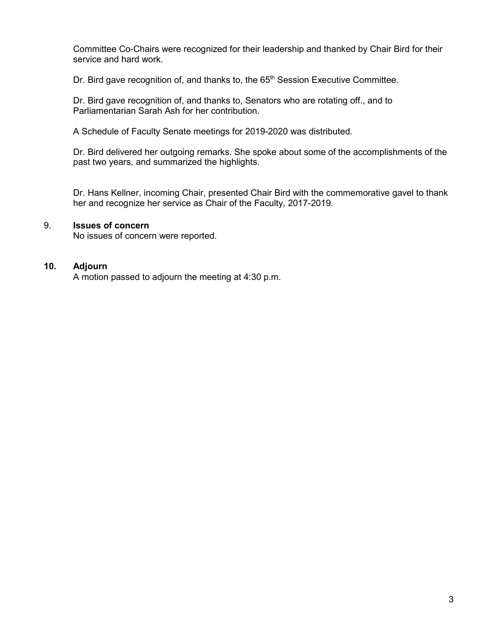Committee Co-Chairs were recognized for their leadership and thanked by Chair Bird for their service and hard work.

Dr. Bird gave recognition of, and thanks to, the 65<sup>th</sup> Session Executive Committee.

Dr. Bird gave recognition of, and thanks to, Senators who are rotating off., and to Parliamentarian Sarah Ash for her contribution.

A Schedule of Faculty Senate meetings for 2019-2020 was distributed.

Dr. Bird delivered her outgoing remarks. She spoke about some of the accomplishments of the past two years, and summarized the highlights.

Dr. Hans Kellner, incoming Chair, presented Chair Bird with the commemorative gavel to thank her and recognize her service as Chair of the Faculty, 2017-2019.

#### 9. **Issues of concern**

No issues of concern were reported.

#### **10. Adjourn**

A motion passed to adjourn the meeting at 4:30 p.m.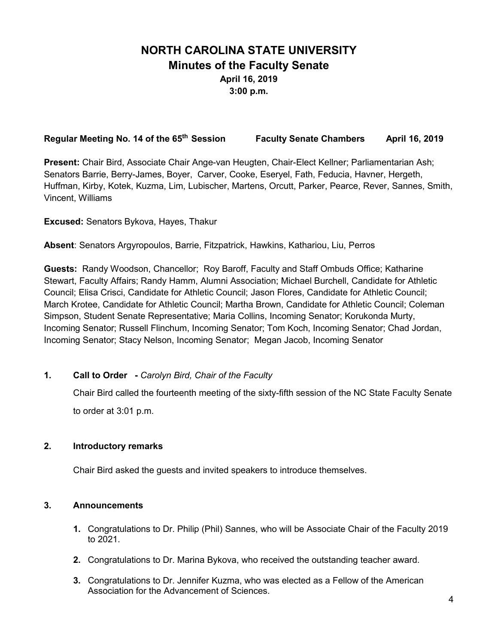# **NORTH CAROLINA STATE UNIVERSITY Minutes of the Faculty Senate April 16, 2019 3:00 p.m.**

#### **Regular Meeting No. 14 of the 65th Session Faculty Senate Chambers April 16, 2019**

**Present:** Chair Bird, Associate Chair Ange-van Heugten, Chair-Elect Kellner; Parliamentarian Ash; Senators Barrie, Berry-James, Boyer, Carver, Cooke, Eseryel, Fath, Feducia, Havner, Hergeth, Huffman, Kirby, Kotek, Kuzma, Lim, Lubischer, Martens, Orcutt, Parker, Pearce, Rever, Sannes, Smith, Vincent, Williams

**Excused:** Senators Bykova, Hayes, Thakur

**Absent**: Senators Argyropoulos, Barrie, Fitzpatrick, Hawkins, Kathariou, Liu, Perros

**Guests:** Randy Woodson, Chancellor; Roy Baroff, Faculty and Staff Ombuds Office; Katharine Stewart, Faculty Affairs; Randy Hamm, Alumni Association; Michael Burchell, Candidate for Athletic Council; Elisa Crisci, Candidate for Athletic Council; Jason Flores, Candidate for Athletic Council; March Krotee, Candidate for Athletic Council; Martha Brown, Candidate for Athletic Council; Coleman Simpson, Student Senate Representative; Maria Collins, Incoming Senator; Korukonda Murty, Incoming Senator; Russell Flinchum, Incoming Senator; Tom Koch, Incoming Senator; Chad Jordan, Incoming Senator; Stacy Nelson, Incoming Senator; Megan Jacob, Incoming Senator

**1. Call to Order -** *Carolyn Bird, Chair of the Faculty*

Chair Bird called the fourteenth meeting of the sixty-fifth session of the NC State Faculty Senate to order at 3:01 p.m.

#### **2. Introductory remarks**

Chair Bird asked the guests and invited speakers to introduce themselves.

#### **3. Announcements**

- **1.** Congratulations to Dr. Philip (Phil) Sannes, who will be Associate Chair of the Faculty 2019 to 2021.
- **2.** Congratulations to Dr. Marina Bykova, who received the outstanding teacher award.
- **3.** Congratulations to Dr. Jennifer Kuzma, who was elected as a Fellow of the American Association for the Advancement of Sciences.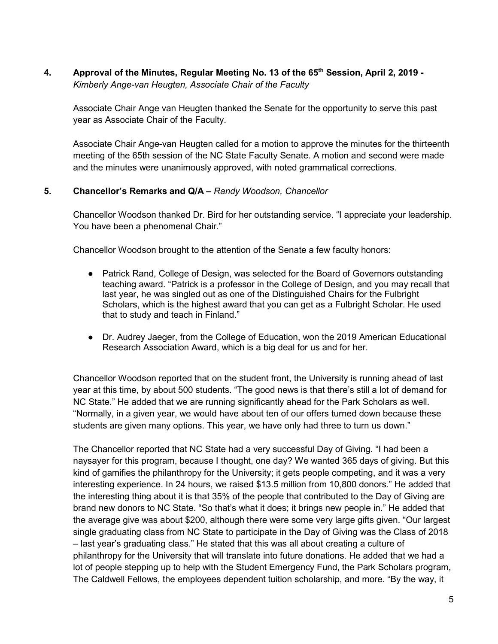**4. Approval of the Minutes, Regular Meeting No. 13 of the 65th Session, April 2, 2019 -** *Kimberly Ange-van Heugten, Associate Chair of the Faculty*

Associate Chair Ange van Heugten thanked the Senate for the opportunity to serve this past year as Associate Chair of the Faculty.

Associate Chair Ange-van Heugten called for a motion to approve the minutes for the thirteenth meeting of the 65th session of the NC State Faculty Senate. A motion and second were made and the minutes were unanimously approved, with noted grammatical corrections.

## **5. Chancellor's Remarks and Q/A –** *Randy Woodson, Chancellor*

Chancellor Woodson thanked Dr. Bird for her outstanding service. "I appreciate your leadership. You have been a phenomenal Chair."

Chancellor Woodson brought to the attention of the Senate a few faculty honors:

- Patrick Rand, College of Design, was selected for the Board of Governors outstanding teaching award. "Patrick is a professor in the College of Design, and you may recall that last year, he was singled out as one of the Distinguished Chairs for the Fulbright Scholars, which is the highest award that you can get as a Fulbright Scholar. He used that to study and teach in Finland."
- Dr. Audrey Jaeger, from the College of Education, won the 2019 American Educational Research Association Award, which is a big deal for us and for her.

Chancellor Woodson reported that on the student front, the University is running ahead of last year at this time, by about 500 students. "The good news is that there's still a lot of demand for NC State." He added that we are running significantly ahead for the Park Scholars as well. "Normally, in a given year, we would have about ten of our offers turned down because these students are given many options. This year, we have only had three to turn us down."

The Chancellor reported that NC State had a very successful Day of Giving. "I had been a naysayer for this program, because I thought, one day? We wanted 365 days of giving. But this kind of gamifies the philanthropy for the University; it gets people competing, and it was a very interesting experience. In 24 hours, we raised \$13.5 million from 10,800 donors." He added that the interesting thing about it is that 35% of the people that contributed to the Day of Giving are brand new donors to NC State. "So that's what it does; it brings new people in." He added that the average give was about \$200, although there were some very large gifts given. "Our largest single graduating class from NC State to participate in the Day of Giving was the Class of 2018 – last year's graduating class." He stated that this was all about creating a culture of philanthropy for the University that will translate into future donations. He added that we had a lot of people stepping up to help with the Student Emergency Fund, the Park Scholars program, The Caldwell Fellows, the employees dependent tuition scholarship, and more. "By the way, it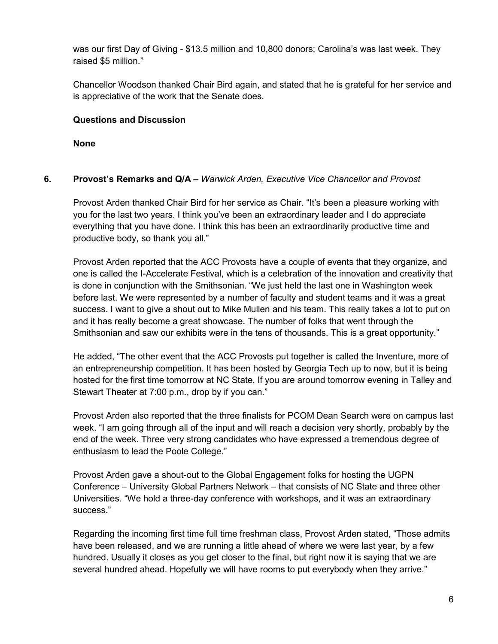was our first Day of Giving - \$13.5 million and 10,800 donors; Carolina's was last week. They raised \$5 million."

Chancellor Woodson thanked Chair Bird again, and stated that he is grateful for her service and is appreciative of the work that the Senate does.

## **Questions and Discussion**

**None** 

## **6. Provost's Remarks and Q/A –** *Warwick Arden, Executive Vice Chancellor and Provost*

Provost Arden thanked Chair Bird for her service as Chair. "It's been a pleasure working with you for the last two years. I think you've been an extraordinary leader and I do appreciate everything that you have done. I think this has been an extraordinarily productive time and productive body, so thank you all."

Provost Arden reported that the ACC Provosts have a couple of events that they organize, and one is called the I-Accelerate Festival, which is a celebration of the innovation and creativity that is done in conjunction with the Smithsonian. "We just held the last one in Washington week before last. We were represented by a number of faculty and student teams and it was a great success. I want to give a shout out to Mike Mullen and his team. This really takes a lot to put on and it has really become a great showcase. The number of folks that went through the Smithsonian and saw our exhibits were in the tens of thousands. This is a great opportunity."

He added, "The other event that the ACC Provosts put together is called the Inventure, more of an entrepreneurship competition. It has been hosted by Georgia Tech up to now, but it is being hosted for the first time tomorrow at NC State. If you are around tomorrow evening in Talley and Stewart Theater at 7:00 p.m., drop by if you can."

Provost Arden also reported that the three finalists for PCOM Dean Search were on campus last week. "I am going through all of the input and will reach a decision very shortly, probably by the end of the week. Three very strong candidates who have expressed a tremendous degree of enthusiasm to lead the Poole College."

Provost Arden gave a shout-out to the Global Engagement folks for hosting the UGPN Conference – University Global Partners Network – that consists of NC State and three other Universities. "We hold a three-day conference with workshops, and it was an extraordinary success."

Regarding the incoming first time full time freshman class, Provost Arden stated, "Those admits have been released, and we are running a little ahead of where we were last year, by a few hundred. Usually it closes as you get closer to the final, but right now it is saying that we are several hundred ahead. Hopefully we will have rooms to put everybody when they arrive."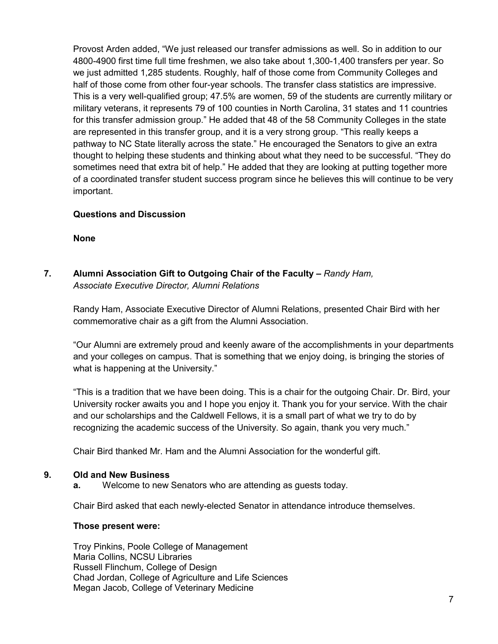Provost Arden added, "We just released our transfer admissions as well. So in addition to our 4800-4900 first time full time freshmen, we also take about 1,300-1,400 transfers per year. So we just admitted 1,285 students. Roughly, half of those come from Community Colleges and half of those come from other four-year schools. The transfer class statistics are impressive. This is a very well-qualified group; 47.5% are women, 59 of the students are currently military or military veterans, it represents 79 of 100 counties in North Carolina, 31 states and 11 countries for this transfer admission group." He added that 48 of the 58 Community Colleges in the state are represented in this transfer group, and it is a very strong group. "This really keeps a pathway to NC State literally across the state." He encouraged the Senators to give an extra thought to helping these students and thinking about what they need to be successful. "They do sometimes need that extra bit of help." He added that they are looking at putting together more of a coordinated transfer student success program since he believes this will continue to be very important.

## **Questions and Discussion**

**None** 

**7. Alumni Association Gift to Outgoing Chair of the Faculty –** *Randy Ham, Associate Executive Director, Alumni Relations*

Randy Ham, Associate Executive Director of Alumni Relations, presented Chair Bird with her commemorative chair as a gift from the Alumni Association.

"Our Alumni are extremely proud and keenly aware of the accomplishments in your departments and your colleges on campus. That is something that we enjoy doing, is bringing the stories of what is happening at the University."

"This is a tradition that we have been doing. This is a chair for the outgoing Chair. Dr. Bird, your University rocker awaits you and I hope you enjoy it. Thank you for your service. With the chair and our scholarships and the Caldwell Fellows, it is a small part of what we try to do by recognizing the academic success of the University. So again, thank you very much."

Chair Bird thanked Mr. Ham and the Alumni Association for the wonderful gift.

#### **9. Old and New Business**

**a.** Welcome to new Senators who are attending as guests today.

Chair Bird asked that each newly-elected Senator in attendance introduce themselves.

#### **Those present were:**

Troy Pinkins, Poole College of Management Maria Collins, NCSU Libraries Russell Flinchum, College of Design Chad Jordan, College of Agriculture and Life Sciences Megan Jacob, College of Veterinary Medicine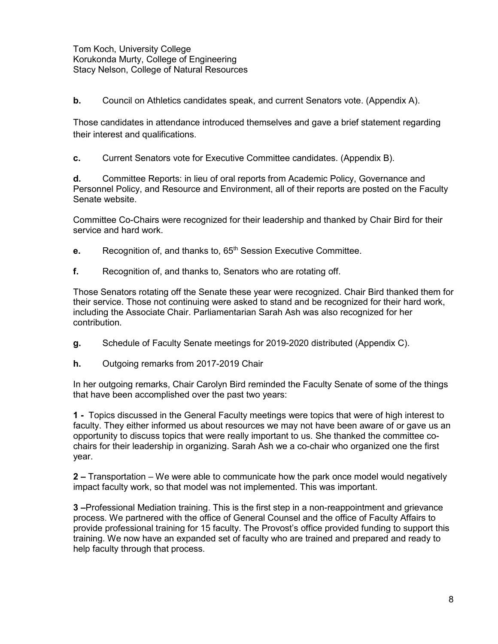Tom Koch, University College Korukonda Murty, College of Engineering Stacy Nelson, College of Natural Resources

**b.** Council on Athletics candidates speak, and current Senators vote. (Appendix A).

Those candidates in attendance introduced themselves and gave a brief statement regarding their interest and qualifications.

**c.** Current Senators vote for Executive Committee candidates. (Appendix B).

**d.** Committee Reports: in lieu of oral reports from Academic Policy, Governance and Personnel Policy, and Resource and Environment, all of their reports are posted on the Faculty Senate website.

Committee Co-Chairs were recognized for their leadership and thanked by Chair Bird for their service and hard work.

- **e.** Recognition of, and thanks to, 65<sup>th</sup> Session Executive Committee.
- **f.** Recognition of, and thanks to, Senators who are rotating off.

Those Senators rotating off the Senate these year were recognized. Chair Bird thanked them for their service. Those not continuing were asked to stand and be recognized for their hard work, including the Associate Chair. Parliamentarian Sarah Ash was also recognized for her contribution.

- **g.** Schedule of Faculty Senate meetings for 2019-2020 distributed (Appendix C).
- **h.** Outgoing remarks from 2017-2019 Chair

In her outgoing remarks, Chair Carolyn Bird reminded the Faculty Senate of some of the things that have been accomplished over the past two years:

**1 -** Topics discussed in the General Faculty meetings were topics that were of high interest to faculty. They either informed us about resources we may not have been aware of or gave us an opportunity to discuss topics that were really important to us. She thanked the committee cochairs for their leadership in organizing. Sarah Ash we a co-chair who organized one the first year.

**2 –** Transportation – We were able to communicate how the park once model would negatively impact faculty work, so that model was not implemented. This was important.

**3 –**Professional Mediation training. This is the first step in a non-reappointment and grievance process. We partnered with the office of General Counsel and the office of Faculty Affairs to provide professional training for 15 faculty. The Provost's office provided funding to support this training. We now have an expanded set of faculty who are trained and prepared and ready to help faculty through that process.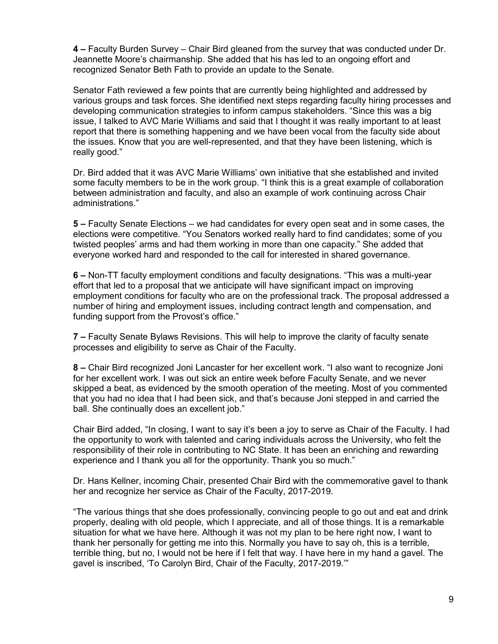**4 –** Faculty Burden Survey – Chair Bird gleaned from the survey that was conducted under Dr. Jeannette Moore's chairmanship. She added that his has led to an ongoing effort and recognized Senator Beth Fath to provide an update to the Senate.

Senator Fath reviewed a few points that are currently being highlighted and addressed by various groups and task forces. She identified next steps regarding faculty hiring processes and developing communication strategies to inform campus stakeholders. "Since this was a big issue, I talked to AVC Marie Williams and said that I thought it was really important to at least report that there is something happening and we have been vocal from the faculty side about the issues. Know that you are well-represented, and that they have been listening, which is really good."

Dr. Bird added that it was AVC Marie Williams' own initiative that she established and invited some faculty members to be in the work group. "I think this is a great example of collaboration between administration and faculty, and also an example of work continuing across Chair administrations."

**5 –** Faculty Senate Elections – we had candidates for every open seat and in some cases, the elections were competitive. "You Senators worked really hard to find candidates; some of you twisted peoples' arms and had them working in more than one capacity." She added that everyone worked hard and responded to the call for interested in shared governance.

**6 –** Non-TT faculty employment conditions and faculty designations. "This was a multi-year effort that led to a proposal that we anticipate will have significant impact on improving employment conditions for faculty who are on the professional track. The proposal addressed a number of hiring and employment issues, including contract length and compensation, and funding support from the Provost's office."

**7 –** Faculty Senate Bylaws Revisions. This will help to improve the clarity of faculty senate processes and eligibility to serve as Chair of the Faculty.

**8 –** Chair Bird recognized Joni Lancaster for her excellent work. "I also want to recognize Joni for her excellent work. I was out sick an entire week before Faculty Senate, and we never skipped a beat, as evidenced by the smooth operation of the meeting. Most of you commented that you had no idea that I had been sick, and that's because Joni stepped in and carried the ball. She continually does an excellent job."

Chair Bird added, "In closing, I want to say it's been a joy to serve as Chair of the Faculty. I had the opportunity to work with talented and caring individuals across the University, who felt the responsibility of their role in contributing to NC State. It has been an enriching and rewarding experience and I thank you all for the opportunity. Thank you so much."

Dr. Hans Kellner, incoming Chair, presented Chair Bird with the commemorative gavel to thank her and recognize her service as Chair of the Faculty, 2017-2019.

"The various things that she does professionally, convincing people to go out and eat and drink properly, dealing with old people, which I appreciate, and all of those things. It is a remarkable situation for what we have here. Although it was not my plan to be here right now, I want to thank her personally for getting me into this. Normally you have to say oh, this is a terrible, terrible thing, but no, I would not be here if I felt that way. I have here in my hand a gavel. The gavel is inscribed, 'To Carolyn Bird, Chair of the Faculty, 2017-2019.'"